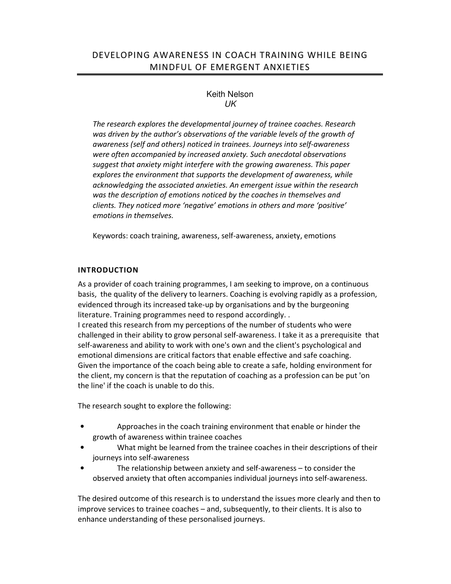# Keith Nelson UK

*The research explores the developmental journey of trainee coaches. Research was driven by the author's observations of the variable levels of the growth of awareness (self and others) noticed in trainees. Journeys into self-awareness were often accompanied by increased anxiety. Such anecdotal observations suggest that anxiety might interfere with the growing awareness. This paper explores the environment that supports the development of awareness, while acknowledging the associated anxieties. An emergent issue within the research was the description of emotions noticed by the coaches in themselves and clients. They noticed more 'negative' emotions in others and more 'positive' emotions in themselves.* 

Keywords: coach training, awareness, self-awareness, anxiety, emotions

# **INTRODUCTION**

As a provider of coach training programmes, I am seeking to improve, on a continuous basis, the quality of the delivery to learners. Coaching is evolving rapidly as a profession, evidenced through its increased take-up by organisations and by the burgeoning literature. Training programmes need to respond accordingly. . I created this research from my perceptions of the number of students who were challenged in their ability to grow personal self-awareness. I take it as a prerequisite that self-awareness and ability to work with one's own and the client's psychological and emotional dimensions are critical factors that enable effective and safe coaching. Given the importance of the coach being able to create a safe, holding environment for the client, my concern is that the reputation of coaching as a profession can be put 'on the line' if the coach is unable to do this.

The research sought to explore the following:

- Approaches in the coach training environment that enable or hinder the growth of awareness within trainee coaches
- What might be learned from the trainee coaches in their descriptions of their journeys into self-awareness
- The relationship between anxiety and self-awareness to consider the observed anxiety that often accompanies individual journeys into self-awareness.

The desired outcome of this research is to understand the issues more clearly and then to improve services to trainee coaches – and, subsequently, to their clients. It is also to enhance understanding of these personalised journeys.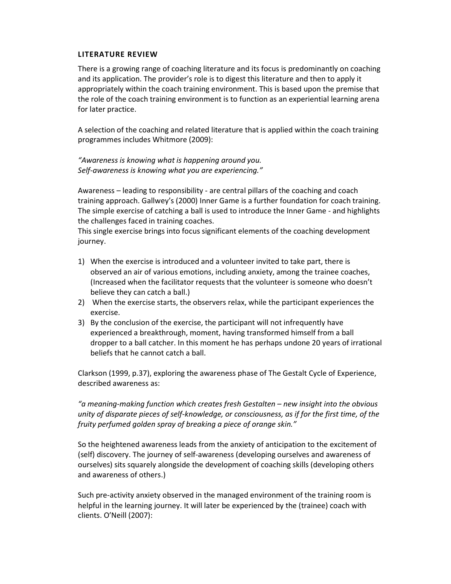#### **LITERATURE REVIEW**

There is a growing range of coaching literature and its focus is predominantly on coaching and its application. The provider's role is to digest this literature and then to apply it appropriately within the coach training environment. This is based upon the premise that the role of the coach training environment is to function as an experiential learning arena for later practice.

A selection of the coaching and related literature that is applied within the coach training programmes includes Whitmore (2009):

*"Awareness is knowing what is happening around you. Self-awareness is knowing what you are experiencing."*

Awareness – leading to responsibility - are central pillars of the coaching and coach training approach. Gallwey's (2000) Inner Game is a further foundation for coach training. The simple exercise of catching a ball is used to introduce the Inner Game - and highlights the challenges faced in training coaches.

This single exercise brings into focus significant elements of the coaching development journey.

- 1) When the exercise is introduced and a volunteer invited to take part, there is observed an air of various emotions, including anxiety, among the trainee coaches, (Increased when the facilitator requests that the volunteer is someone who doesn't believe they can catch a ball.)
- 2) When the exercise starts, the observers relax, while the participant experiences the exercise.
- 3) By the conclusion of the exercise, the participant will not infrequently have experienced a breakthrough, moment, having transformed himself from a ball dropper to a ball catcher. In this moment he has perhaps undone 20 years of irrational beliefs that he cannot catch a ball.

Clarkson (1999, p.37), exploring the awareness phase of The Gestalt Cycle of Experience, described awareness as:

*"a meaning-making function which creates fresh Gestalten – new insight into the obvious unity of disparate pieces of self-knowledge, or consciousness, as if for the first time, of the fruity perfumed golden spray of breaking a piece of orange skin."* 

So the heightened awareness leads from the anxiety of anticipation to the excitement of (self) discovery. The journey of self-awareness (developing ourselves and awareness of ourselves) sits squarely alongside the development of coaching skills (developing others and awareness of others.)

Such pre-activity anxiety observed in the managed environment of the training room is helpful in the learning journey. It will later be experienced by the (trainee) coach with clients. O'Neill (2007):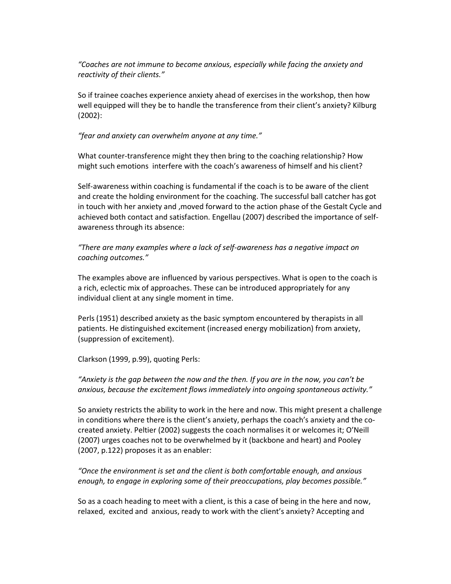*"Coaches are not immune to become anxious, especially while facing the anxiety and reactivity of their clients."*

So if trainee coaches experience anxiety ahead of exercises in the workshop, then how well equipped will they be to handle the transference from their client's anxiety? Kilburg (2002):

#### *"fear and anxiety can overwhelm anyone at any time."*

What counter-transference might they then bring to the coaching relationship? How might such emotions interfere with the coach's awareness of himself and his client?

Self-awareness within coaching is fundamental if the coach is to be aware of the client and create the holding environment for the coaching. The successful ball catcher has got in touch with her anxiety and ,moved forward to the action phase of the Gestalt Cycle and achieved both contact and satisfaction. Engellau (2007) described the importance of selfawareness through its absence:

*"There are many examples where a lack of self-awareness has a negative impact on coaching outcomes."* 

The examples above are influenced by various perspectives. What is open to the coach is a rich, eclectic mix of approaches. These can be introduced appropriately for any individual client at any single moment in time.

Perls (1951) described anxiety as the basic symptom encountered by therapists in all patients. He distinguished excitement (increased energy mobilization) from anxiety, (suppression of excitement).

Clarkson (1999, p.99), quoting Perls:

*"Anxiety is the gap between the now and the then. If you are in the now, you can't be anxious, because the excitement flows immediately into ongoing spontaneous activity."* 

So anxiety restricts the ability to work in the here and now. This might present a challenge in conditions where there is the client's anxiety, perhaps the coach's anxiety and the cocreated anxiety. Peltier (2002) suggests the coach normalises it or welcomes it; O'Neill (2007) urges coaches not to be overwhelmed by it (backbone and heart) and Pooley (2007, p.122) proposes it as an enabler:

*"Once the environment is set and the client is both comfortable enough, and anxious enough, to engage in exploring some of their preoccupations, play becomes possible."* 

So as a coach heading to meet with a client, is this a case of being in the here and now, relaxed, excited and anxious, ready to work with the client's anxiety? Accepting and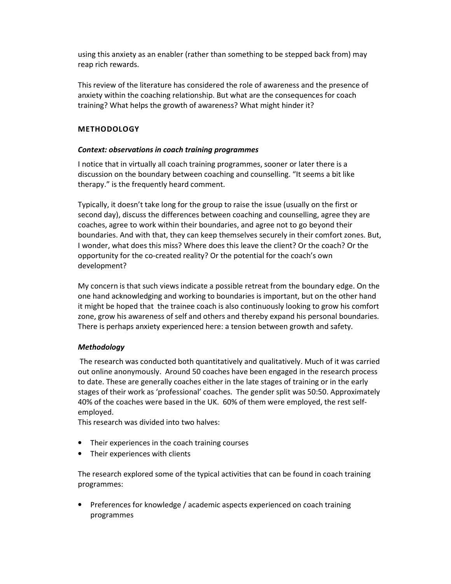using this anxiety as an enabler (rather than something to be stepped back from) may reap rich rewards.

This review of the literature has considered the role of awareness and the presence of anxiety within the coaching relationship. But what are the consequences for coach training? What helps the growth of awareness? What might hinder it?

## **METHODOLOGY**

### *Context: observations in coach training programmes*

I notice that in virtually all coach training programmes, sooner or later there is a discussion on the boundary between coaching and counselling. "It seems a bit like therapy." is the frequently heard comment.

Typically, it doesn't take long for the group to raise the issue (usually on the first or second day), discuss the differences between coaching and counselling, agree they are coaches, agree to work within their boundaries, and agree not to go beyond their boundaries. And with that, they can keep themselves securely in their comfort zones. But, I wonder, what does this miss? Where does this leave the client? Or the coach? Or the opportunity for the co-created reality? Or the potential for the coach's own development?

My concern is that such views indicate a possible retreat from the boundary edge. On the one hand acknowledging and working to boundaries is important, but on the other hand it might be hoped that the trainee coach is also continuously looking to grow his comfort zone, grow his awareness of self and others and thereby expand his personal boundaries. There is perhaps anxiety experienced here: a tension between growth and safety.

# *Methodology*

The research was conducted both quantitatively and qualitatively. Much of it was carried out online anonymously. Around 50 coaches have been engaged in the research process to date. These are generally coaches either in the late stages of training or in the early stages of their work as 'professional' coaches. The gender split was 50:50. Approximately 40% of the coaches were based in the UK. 60% of them were employed, the rest selfemployed.

This research was divided into two halves:

- Their experiences in the coach training courses
- Their experiences with clients

The research explored some of the typical activities that can be found in coach training programmes:

• Preferences for knowledge / academic aspects experienced on coach training programmes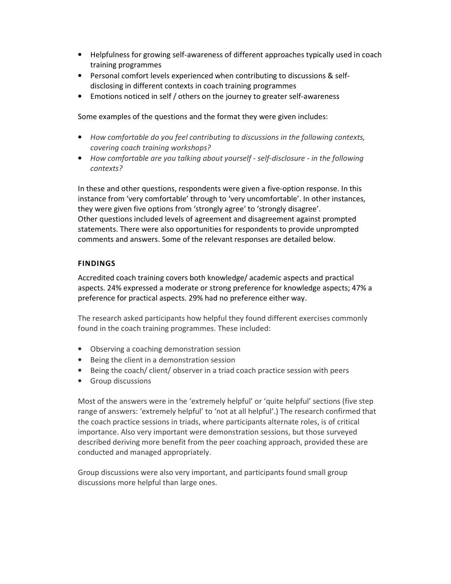- Helpfulness for growing self-awareness of different approaches typically used in coach training programmes
- Personal comfort levels experienced when contributing to discussions & selfdisclosing in different contexts in coach training programmes
- Emotions noticed in self / others on the journey to greater self-awareness

Some examples of the questions and the format they were given includes:

- *How comfortable do you feel contributing to discussions in the following contexts, covering coach training workshops?*
- *How comfortable are you talking about yourself self-disclosure in the following contexts?*

In these and other questions, respondents were given a five-option response. In this instance from 'very comfortable' through to 'very uncomfortable'. In other instances, they were given five options from 'strongly agree' to 'strongly disagree'. Other questions included levels of agreement and disagreement against prompted statements. There were also opportunities for respondents to provide unprompted comments and answers. Some of the relevant responses are detailed below.

### **FINDINGS**

Accredited coach training covers both knowledge/ academic aspects and practical aspects. 24% expressed a moderate or strong preference for knowledge aspects; 47% a preference for practical aspects. 29% had no preference either way.

The research asked participants how helpful they found different exercises commonly found in the coach training programmes. These included:

- Observing a coaching demonstration session
- Being the client in a demonstration session
- Being the coach/ client/ observer in a triad coach practice session with peers
- Group discussions

Most of the answers were in the 'extremely helpful' or 'quite helpful' sections (five step range of answers: 'extremely helpful' to 'not at all helpful'.) The research confirmed that the coach practice sessions in triads, where participants alternate roles, is of critical importance. Also very important were demonstration sessions, but those surveyed described deriving more benefit from the peer coaching approach, provided these are conducted and managed appropriately.

Group discussions were also very important, and participants found small group discussions more helpful than large ones.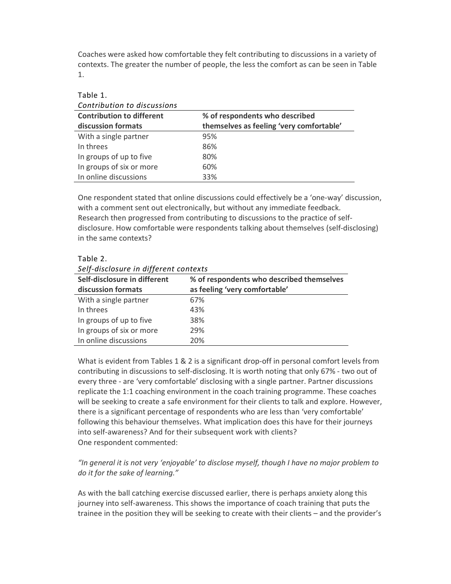Coaches were asked how comfortable they felt contributing to discussions in a variety of contexts. The greater the number of people, the less the comfort as can be seen in Table 1.

| Contribution to discussions              |  |  |  |  |
|------------------------------------------|--|--|--|--|
| % of respondents who described           |  |  |  |  |
| themselves as feeling 'very comfortable' |  |  |  |  |
| 95%                                      |  |  |  |  |
| 86%                                      |  |  |  |  |
| 80%                                      |  |  |  |  |
| 60%                                      |  |  |  |  |
| 33%                                      |  |  |  |  |
|                                          |  |  |  |  |

One respondent stated that online discussions could effectively be a 'one-way' discussion, with a comment sent out electronically, but without any immediate feedback. Research then progressed from contributing to discussions to the practice of selfdisclosure. How comfortable were respondents talking about themselves (self-disclosing) in the same contexts?

#### Table 2.

Table 1.

| Seif-aisciosure in aifferent contexts |                                           |  |  |
|---------------------------------------|-------------------------------------------|--|--|
| Self-disclosure in different          | % of respondents who described themselves |  |  |
| discussion formats                    | as feeling 'very comfortable'             |  |  |
| With a single partner                 | 67%                                       |  |  |
| In threes                             | 43%                                       |  |  |
| In groups of up to five               | 38%                                       |  |  |
| In groups of six or more              | 29%                                       |  |  |
| In online discussions                 | 20%                                       |  |  |

*Self-disclosure in different contexts* 

What is evident from Tables 1 & 2 is a significant drop-off in personal comfort levels from contributing in discussions to self-disclosing. It is worth noting that only 67% - two out of every three - are 'very comfortable' disclosing with a single partner. Partner discussions replicate the 1:1 coaching environment in the coach training programme. These coaches will be seeking to create a safe environment for their clients to talk and explore. However, there is a significant percentage of respondents who are less than 'very comfortable' following this behaviour themselves. What implication does this have for their journeys into self-awareness? And for their subsequent work with clients? One respondent commented:

*"In general it is not very 'enjoyable' to disclose myself, though I have no major problem to do it for the sake of learning."*

As with the ball catching exercise discussed earlier, there is perhaps anxiety along this journey into self-awareness. This shows the importance of coach training that puts the trainee in the position they will be seeking to create with their clients – and the provider's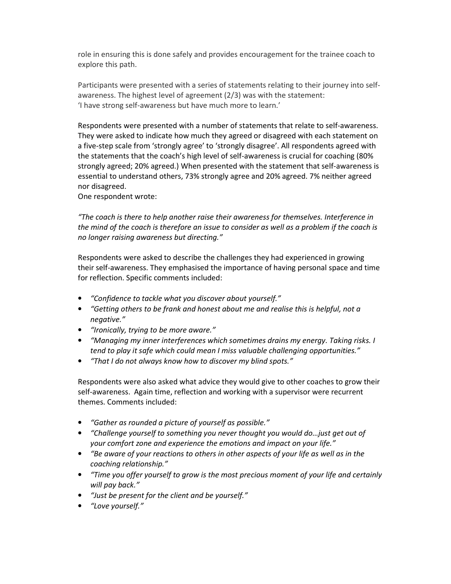role in ensuring this is done safely and provides encouragement for the trainee coach to explore this path.

Participants were presented with a series of statements relating to their journey into selfawareness. The highest level of agreement (2/3) was with the statement: 'I have strong self-awareness but have much more to learn.'

Respondents were presented with a number of statements that relate to self-awareness. They were asked to indicate how much they agreed or disagreed with each statement on a five-step scale from 'strongly agree' to 'strongly disagree'. All respondents agreed with the statements that the coach's high level of self-awareness is crucial for coaching (80% strongly agreed; 20% agreed.) When presented with the statement that self-awareness is essential to understand others, 73% strongly agree and 20% agreed. 7% neither agreed nor disagreed.

One respondent wrote:

*"The coach is there to help another raise their awareness for themselves. Interference in the mind of the coach is therefore an issue to consider as well as a problem if the coach is no longer raising awareness but directing."* 

Respondents were asked to describe the challenges they had experienced in growing their self-awareness. They emphasised the importance of having personal space and time for reflection. Specific comments included:

- *"Confidence to tackle what you discover about yourself."*
- *"Getting others to be frank and honest about me and realise this is helpful, not a negative."*
- *"Ironically, trying to be more aware."*
- *"Managing my inner interferences which sometimes drains my energy. Taking risks. I tend to play it safe which could mean I miss valuable challenging opportunities."*
- *"That I do not always know how to discover my blind spots."*

Respondents were also asked what advice they would give to other coaches to grow their self-awareness. Again time, reflection and working with a supervisor were recurrent themes. Comments included:

- *"Gather as rounded a picture of yourself as possible."*
- *"Challenge yourself to something you never thought you would do…just get out of your comfort zone and experience the emotions and impact on your life."*
- *"Be aware of your reactions to others in other aspects of your life as well as in the coaching relationship."*
- *"Time you offer yourself to grow is the most precious moment of your life and certainly will pay back."*
- *"Just be present for the client and be yourself."*
- *"Love yourself."*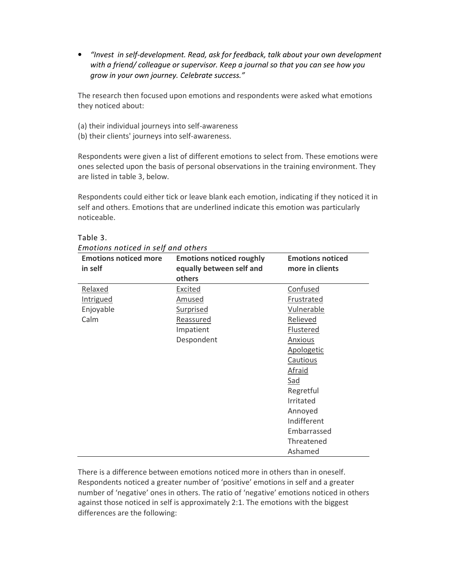• *"Invest in self-development. Read, ask for feedback, talk about your own development with a friend/ colleague or supervisor. Keep a journal so that you can see how you grow in your own journey. Celebrate success."* 

The research then focused upon emotions and respondents were asked what emotions they noticed about:

- (a) their individual journeys into self-awareness
- (b) their clients' journeys into self-awareness.

Respondents were given a list of different emotions to select from. These emotions were ones selected upon the basis of personal observations in the training environment. They are listed in table 3, below.

Respondents could either tick or leave blank each emotion, indicating if they noticed it in self and others. Emotions that are underlined indicate this emotion was particularly noticeable.

| <b>Emotions noticed more</b><br>in self | <b>Emotions noticed roughly</b><br>equally between self and | <b>Emotions noticed</b><br>more in clients |
|-----------------------------------------|-------------------------------------------------------------|--------------------------------------------|
|                                         | others                                                      |                                            |
| Relaxed                                 | Excited                                                     | Confused                                   |
| <b>Intrigued</b>                        | <u>Amused</u>                                               | Frustrated                                 |
| Enjoyable                               | <b>Surprised</b>                                            | Vulnerable                                 |
| Calm                                    | Reassured                                                   | Relieved                                   |
|                                         | Impatient                                                   | <b>Flustered</b>                           |
|                                         | Despondent                                                  | Anxious                                    |
|                                         |                                                             | Apologetic                                 |
|                                         |                                                             | Cautious                                   |
|                                         |                                                             | <b>Afraid</b>                              |
|                                         |                                                             | Sad                                        |
|                                         |                                                             | Regretful                                  |
|                                         |                                                             | Irritated                                  |
|                                         |                                                             | Annoyed                                    |
|                                         |                                                             | Indifferent                                |
|                                         |                                                             | Embarrassed                                |
|                                         |                                                             | Threatened                                 |
|                                         |                                                             | Ashamed                                    |

Table 3.

There is a difference between emotions noticed more in others than in oneself. Respondents noticed a greater number of 'positive' emotions in self and a greater number of 'negative' ones in others. The ratio of 'negative' emotions noticed in others against those noticed in self is approximately 2:1. The emotions with the biggest differences are the following: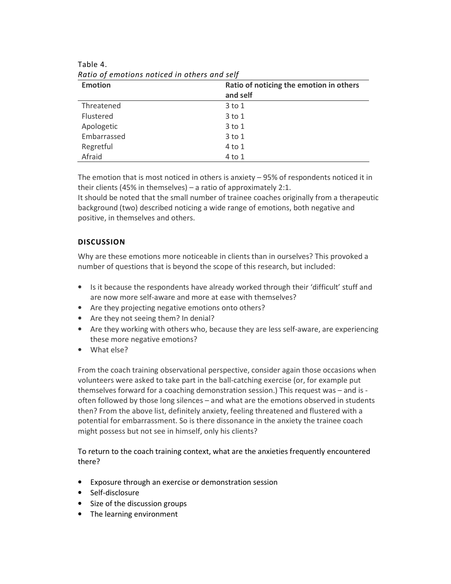| <b>Emotion</b> | Ratio of noticing the emotion in others |  |
|----------------|-----------------------------------------|--|
|                | and self                                |  |
| Threatened     | 3 to 1                                  |  |
| Flustered      | $3$ to $1$                              |  |
| Apologetic     | $3$ to $1$                              |  |
| Embarrassed    | $3$ to $1$                              |  |
| Regretful      | 4 to 1                                  |  |
| Afraid         | 4 to 1                                  |  |

Table 4. *Ratio of emotions noticed in others and self* 

The emotion that is most noticed in others is anxiety – 95% of respondents noticed it in their clients (45% in themselves) – a ratio of approximately 2:1.

It should be noted that the small number of trainee coaches originally from a therapeutic background (two) described noticing a wide range of emotions, both negative and positive, in themselves and others.

# **DISCUSSION**

Why are these emotions more noticeable in clients than in ourselves? This provoked a number of questions that is beyond the scope of this research, but included:

- Is it because the respondents have already worked through their 'difficult' stuff and are now more self-aware and more at ease with themselves?
- Are they projecting negative emotions onto others?
- Are they not seeing them? In denial?
- Are they working with others who, because they are less self-aware, are experiencing these more negative emotions?
- What else?

From the coach training observational perspective, consider again those occasions when volunteers were asked to take part in the ball-catching exercise (or, for example put themselves forward for a coaching demonstration session.) This request was – and is often followed by those long silences – and what are the emotions observed in students then? From the above list, definitely anxiety, feeling threatened and flustered with a potential for embarrassment. So is there dissonance in the anxiety the trainee coach might possess but not see in himself, only his clients?

To return to the coach training context, what are the anxieties frequently encountered there?

- Exposure through an exercise or demonstration session
- Self-disclosure
- Size of the discussion groups
- The learning environment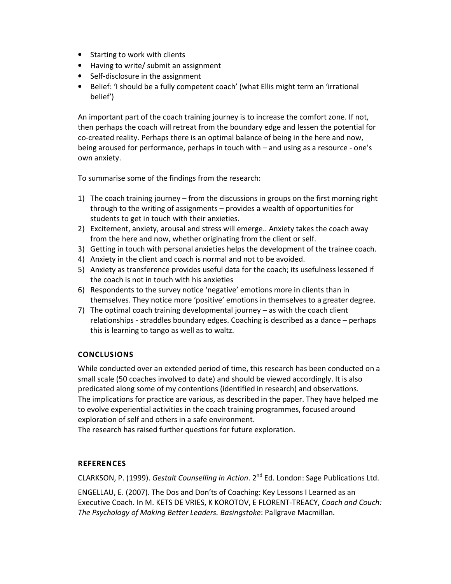- Starting to work with clients
- Having to write/ submit an assignment
- Self-disclosure in the assignment
- Belief: 'I should be a fully competent coach' (what Ellis might term an 'irrational belief')

An important part of the coach training journey is to increase the comfort zone. If not, then perhaps the coach will retreat from the boundary edge and lessen the potential for co-created reality. Perhaps there is an optimal balance of being in the here and now, being aroused for performance, perhaps in touch with – and using as a resource - one's own anxiety.

To summarise some of the findings from the research:

- 1) The coach training journey from the discussions in groups on the first morning right through to the writing of assignments – provides a wealth of opportunities for students to get in touch with their anxieties.
- 2) Excitement, anxiety, arousal and stress will emerge.. Anxiety takes the coach away from the here and now, whether originating from the client or self.
- 3) Getting in touch with personal anxieties helps the development of the trainee coach.
- 4) Anxiety in the client and coach is normal and not to be avoided.
- 5) Anxiety as transference provides useful data for the coach; its usefulness lessened if the coach is not in touch with his anxieties
- 6) Respondents to the survey notice 'negative' emotions more in clients than in themselves. They notice more 'positive' emotions in themselves to a greater degree.
- 7) The optimal coach training developmental journey as with the coach client relationships - straddles boundary edges. Coaching is described as a dance – perhaps this is learning to tango as well as to waltz.

# **CONCLUSIONS**

While conducted over an extended period of time, this research has been conducted on a small scale (50 coaches involved to date) and should be viewed accordingly. It is also predicated along some of my contentions (identified in research) and observations. The implications for practice are various, as described in the paper. They have helped me to evolve experiential activities in the coach training programmes, focused around exploration of self and others in a safe environment.

The research has raised further questions for future exploration.

# **REFERENCES**

CLARKSON, P. (1999). *Gestalt Counselling in Action*. 2nd Ed. London: Sage Publications Ltd.

ENGELLAU, E. (2007). The Dos and Don'ts of Coaching: Key Lessons I Learned as an Executive Coach. In M. KETS DE VRIES, K KOROTOV, E FLORENT-TREACY, *Coach and Couch: The Psychology of Making Better Leaders. Basingstoke*: Pallgrave Macmillan.